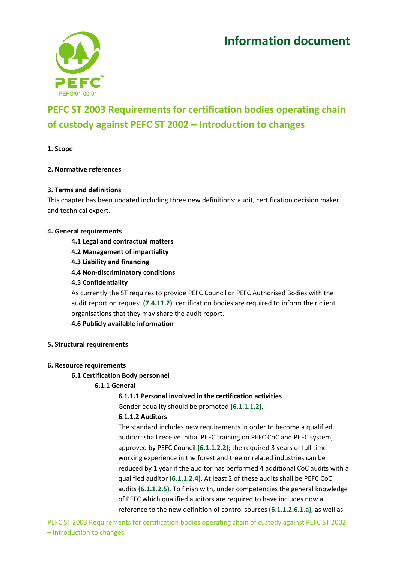# **Information document**



# **PEFC ST 2003 Requirements for certification bodies operating chain of custody against PEFC ST 2002 – Introduction to changes**

**1. Scope** 

# **2. Normative references**

# **3. Terms and definitions**

This chapter has been updated including three new definitions: audit, certification decision maker and technical expert.

# **4. General requirements**

- **4.1 Legal and contractual matters**
- **4.2 Management of impartiality**
- **4.3 Liability and financing**
- **4.4 Non‐discriminatory conditions**
- **4.5 Confidentiality**

As currently the ST requires to provide PEFC Council or PEFC Authorised Bodies with the audit report on request **(7.4.11.2)**, certification bodies are required to inform their client organisations that they may share the audit report.

**4.6 Publicly available information** 

#### **5. Structural requirements**

#### **6. Resource requirements**

# **6.1 Certification Body personnel**

# **6.1.1 General**

**6.1.1.1 Personal involved in the certification activities** 

Gender equality should be promoted **(6.1.1.1.2)**.

# **6.1.1.2 Auditors**

The standard includes new requirements in order to become a qualified auditor: shall receive initial PEFC training on PEFC CoC and PEFC system, approved by PEFC Council **(6.1.1.2.2)**; the required 3 years of full time working experience in the forest and tree or related industries can be reduced by 1 year if the auditor has performed 4 additional CoC audits with a qualified auditor **(6.1.1.2.4)**. At least 2 of these audits shall be PEFC CoC audits **(6.1.1.2.5)**. To finish with, under competencies the general knowledge of PEFC which qualified auditors are required to have includes now a reference to the new definition of control sources **(6.1.1.2.6.1.a)**, as well as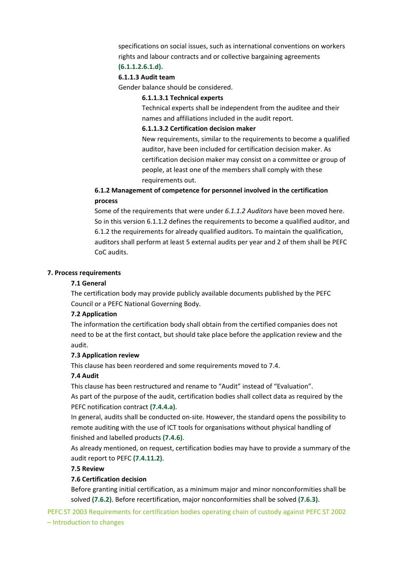specifications on social issues, such as international conventions on workers rights and labour contracts and or collective bargaining agreements **(6.1.1.2.6.1.d).** 

# **6.1.1.3 Audit team**

Gender balance should be considered.

#### **6.1.1.3.1 Technical experts**

Technical experts shall be independent from the auditee and their names and affiliations included in the audit report.

#### **6.1.1.3.2 Certification decision maker**

New requirements, similar to the requirements to become a qualified auditor, have been included for certification decision maker. As certification decision maker may consist on a committee or group of people, at least one of the members shall comply with these requirements out.

# **6.1.2 Management of competence for personnel involved in the certification process**

Some of the requirements that were under *6.1.1.2 Auditors* have been moved here. So in this version 6.1.1.2 defines the requirements to become a qualified auditor, and 6.1.2 the requirements for already qualified auditors. To maintain the qualification, auditors shall perform at least 5 external audits per year and 2 of them shall be PEFC CoC audits.

#### **7. Process requirements**

#### **7.1 General**

The certification body may provide publicly available documents published by the PEFC Council or a PEFC National Governing Body.

#### **7.2 Application**

The information the certification body shall obtain from the certified companies does not need to be at the first contact, but should take place before the application review and the audit.

#### **7.3 Application review**

This clause has been reordered and some requirements moved to 7.4.

#### **7.4 Audit**

This clause has been restructured and rename to "Audit" instead of "Evaluation".

As part of the purpose of the audit, certification bodies shall collect data as required by the PEFC notification contract **(7.4.4.a)**.

In general, audits shall be conducted on-site. However, the standard opens the possibility to remote auditing with the use of ICT tools for organisations without physical handling of finished and labelled products **(7.4.6)**.

As already mentioned, on request, certification bodies may have to provide a summary of the audit report to PEFC **(7.4.11.2)**.

#### **7.5 Review**

# **7.6 Certification decision**

Before granting initial certification, as a minimum major and minor nonconformities shall be solved **(7.6.2)**. Before recertification, major nonconformities shall be solved **(7.6.3)**.

PEFC ST 2003 Requirements for certification bodies operating chain of custody against PEFC ST 2002 – Introduction to changes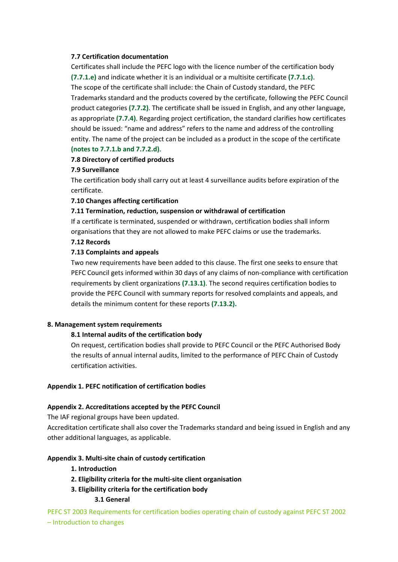# **7.7 Certification documentation**

Certificates shall include the PEFC logo with the licence number of the certification body **(7.7.1.e)** and indicate whether it is an individual or a multisite certificate **(7.7.1.c)**. The scope of the certificate shall include: the Chain of Custody standard, the PEFC Trademarks standard and the products covered by the certificate, following the PEFC Council product categories **(7.7.2)**. The certificate shall be issued in English, and any other language, as appropriate **(7.7.4)**. Regarding project certification, the standard clarifies how certificates should be issued: "name and address" refers to the name and address of the controlling entity. The name of the project can be included as a product in the scope of the certificate **(notes to 7.7.1.b and 7.7.2.d)**.

# **7.8 Directory of certified products**

# **7.9 Surveillance**

The certification body shall carry out at least 4 surveillance audits before expiration of the certificate.

# **7.10 Changes affecting certification**

# **7.11 Termination, reduction, suspension or withdrawal of certification**

If a certificate is terminated, suspended or withdrawn, certification bodies shall inform organisations that they are not allowed to make PEFC claims or use the trademarks.

# **7.12 Records**

# **7.13 Complaints and appeals**

Two new requirements have been added to this clause. The first one seeks to ensure that PEFC Council gets informed within 30 days of any claims of non-compliance with certification requirements by client organizations **(7.13.1)**. The second requires certification bodies to provide the PEFC Council with summary reports for resolved complaints and appeals, and details the minimum content for these reports **(7.13.2).**

#### **8. Management system requirements**

# **8.1 Internal audits of the certification body**

On request, certification bodies shall provide to PEFC Council or the PEFC Authorised Body the results of annual internal audits, limited to the performance of PEFC Chain of Custody certification activities.

#### **Appendix 1. PEFC notification of certification bodies**

# **Appendix 2. Accreditations accepted by the PEFC Council**

The IAF regional groups have been updated.

Accreditation certificate shall also cover the Trademarks standard and being issued in English and any other additional languages, as applicable.

#### **Appendix 3. Multi‐site chain of custody certification**

- **1. Introduction**
- **2. Eligibility criteria for the multi‐site client organisation**
- **3. Eligibility criteria for the certification body** 
	- **3.1 General**

PEFC ST 2003 Requirements for certification bodies operating chain of custody against PEFC ST 2002 – Introduction to changes